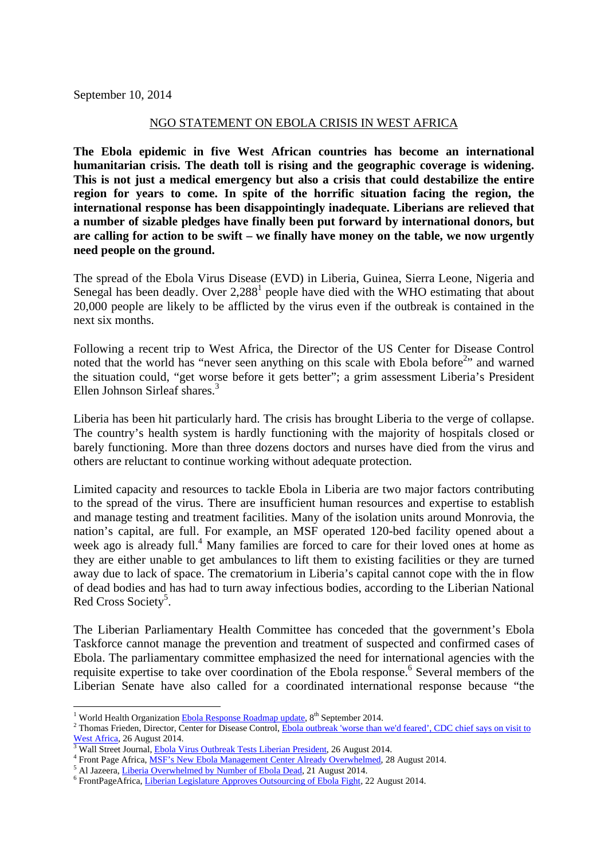September 10, 2014

## NGO STATEMENT ON EBOLA CRISIS IN WEST AFRICA

**The Ebola epidemic in five West African countries has become an international humanitarian crisis. The death toll is rising and the geographic coverage is widening. This is not just a medical emergency but also a crisis that could destabilize the entire region for years to come. In spite of the horrific situation facing the region, the international response has been disappointingly inadequate. Liberians are relieved that a number of sizable pledges have finally been put forward by international donors, but are calling for action to be swift – we finally have money on the table, we now urgently need people on the ground.** 

The spread of the Ebola Virus Disease (EVD) in Liberia, Guinea, Sierra Leone, Nigeria and Senegal has been deadly. Over  $2,288<sup>1</sup>$  people have died with the WHO estimating that about 20,000 people are likely to be afflicted by the virus even if the outbreak is contained in the next six months.

Following a recent trip to West Africa, the Director of the US Center for Disease Control noted that the world has "never seen anything on this scale with Ebola before<sup>2</sup>" and warned the situation could, "get worse before it gets better"; a grim assessment Liberia's President Ellen Johnson Sirleaf shares.<sup>3</sup>

Liberia has been hit particularly hard. The crisis has brought Liberia to the verge of collapse. The country's health system is hardly functioning with the majority of hospitals closed or barely functioning. More than three dozens doctors and nurses have died from the virus and others are reluctant to continue working without adequate protection.

Limited capacity and resources to tackle Ebola in Liberia are two major factors contributing to the spread of the virus. There are insufficient human resources and expertise to establish and manage testing and treatment facilities. Many of the isolation units around Monrovia, the nation's capital, are full. For example, an MSF operated 120-bed facility opened about a week ago is already full.<sup>4</sup> Many families are forced to care for their loved ones at home as they are either unable to get ambulances to lift them to existing facilities or they are turned away due to lack of space. The crematorium in Liberia's capital cannot cope with the in flow of dead bodies and has had to turn away infectious bodies, according to the Liberian National Red Cross Society<sup>5</sup>.

The Liberian Parliamentary Health Committee has conceded that the government's Ebola Taskforce cannot manage the prevention and treatment of suspected and confirmed cases of Ebola. The parliamentary committee emphasized the need for international agencies with the requisite expertise to take over coordination of the Ebola response.<sup>6</sup> Several members of the Liberian Senate have also called for a coordinated international response because "the

<sup>&</sup>lt;sup>1</sup> World Health Organization Ebola Response Roadmap update, 8<sup>th</sup> September 2014.

<sup>&</sup>lt;sup>2</sup> Thomas Frieden, Director, Center for Disease Control, Ebola outbreak 'worse than we'd feared', CDC chief says on visit to  $\frac{\text{West Africa}}{\text{3 Well Street Journal.}$ 

<sup>&</sup>lt;sup>3</sup> Wall Street Journal, <u>Ebola Virus Outbreak Tests Liberian President</u>, 26 August 2014.<br><sup>4</sup> Erect Rese, Africa, MSE's Naw Ebola Managament Captar Already Quarushalmed, 28

Front Page Africa, MSF's New Ebola Management Center Already Overwhelmed, 28 August 2014.

<sup>&</sup>lt;sup>5</sup> Al Jazeera, Liberia Overwhelmed by Number of Ebola Dead, 21 August 2014.

FrontPageAfrica, Liberian Legislature Approves Outsourcing of Ebola Fight, 22 August 2014.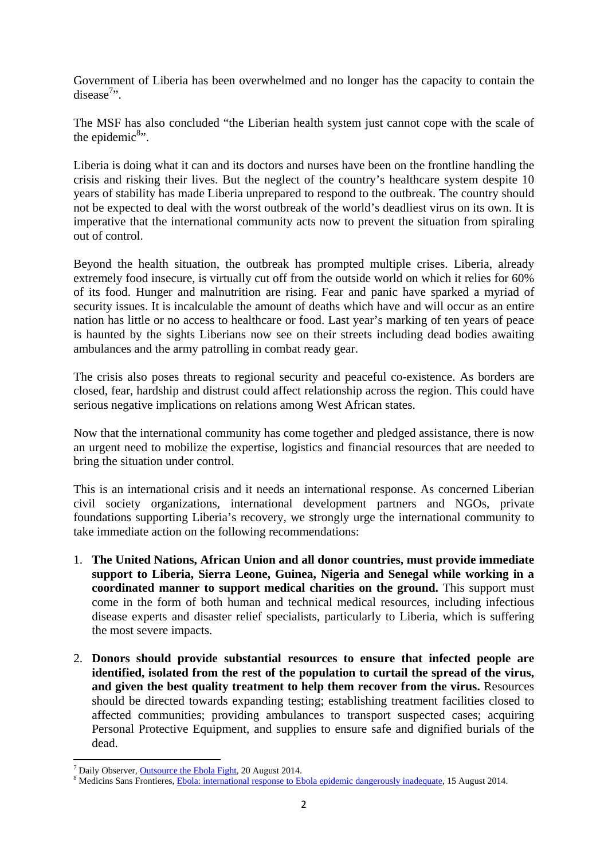Government of Liberia has been overwhelmed and no longer has the capacity to contain the disease<sup>7</sup>*n*.

The MSF has also concluded "the Liberian health system just cannot cope with the scale of the epidemic $\delta$ <sup>8</sup>.

Liberia is doing what it can and its doctors and nurses have been on the frontline handling the crisis and risking their lives. But the neglect of the country's healthcare system despite 10 years of stability has made Liberia unprepared to respond to the outbreak. The country should not be expected to deal with the worst outbreak of the world's deadliest virus on its own. It is imperative that the international community acts now to prevent the situation from spiraling out of control.

Beyond the health situation, the outbreak has prompted multiple crises. Liberia, already extremely food insecure, is virtually cut off from the outside world on which it relies for 60% of its food. Hunger and malnutrition are rising. Fear and panic have sparked a myriad of security issues. It is incalculable the amount of deaths which have and will occur as an entire nation has little or no access to healthcare or food. Last year's marking of ten years of peace is haunted by the sights Liberians now see on their streets including dead bodies awaiting ambulances and the army patrolling in combat ready gear.

The crisis also poses threats to regional security and peaceful co-existence. As borders are closed, fear, hardship and distrust could affect relationship across the region. This could have serious negative implications on relations among West African states.

Now that the international community has come together and pledged assistance, there is now an urgent need to mobilize the expertise, logistics and financial resources that are needed to bring the situation under control.

This is an international crisis and it needs an international response. As concerned Liberian civil society organizations, international development partners and NGOs, private foundations supporting Liberia's recovery, we strongly urge the international community to take immediate action on the following recommendations:

- 1. **The United Nations, African Union and all donor countries, must provide immediate support to Liberia, Sierra Leone, Guinea, Nigeria and Senegal while working in a coordinated manner to support medical charities on the ground.** This support must come in the form of both human and technical medical resources, including infectious disease experts and disaster relief specialists, particularly to Liberia, which is suffering the most severe impacts.
- 2. **Donors should provide substantial resources to ensure that infected people are identified, isolated from the rest of the population to curtail the spread of the virus, and given the best quality treatment to help them recover from the virus.** Resources should be directed towards expanding testing; establishing treatment facilities closed to affected communities; providing ambulances to transport suspected cases; acquiring Personal Protective Equipment, and supplies to ensure safe and dignified burials of the dead.

  $T$  Daily Observer, <u>Outsource the Ebola Fight</u>, 20 August 2014.

<sup>&</sup>lt;sup>8</sup> Medicins Sans Frontieres, Ebola: international response to Ebola epidemic dangerously inadequate, 15 August 2014.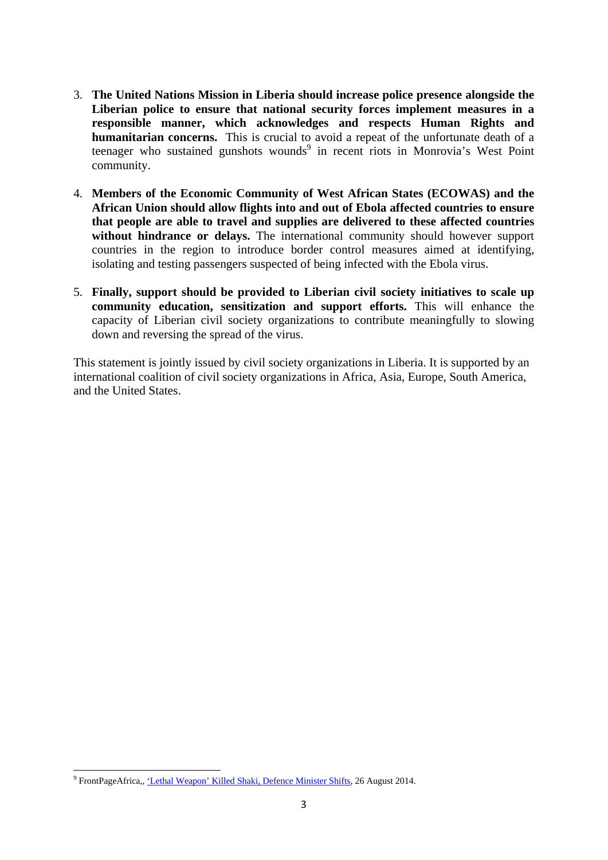- 3. **The United Nations Mission in Liberia should increase police presence alongside the Liberian police to ensure that national security forces implement measures in a responsible manner, which acknowledges and respects Human Rights and humanitarian concerns.** This is crucial to avoid a repeat of the unfortunate death of a teenager who sustained gunshots wounds<sup>9</sup> in recent riots in Monrovia's West Point community.
- 4. **Members of the Economic Community of West African States (ECOWAS) and the African Union should allow flights into and out of Ebola affected countries to ensure that people are able to travel and supplies are delivered to these affected countries without hindrance or delays.** The international community should however support countries in the region to introduce border control measures aimed at identifying, isolating and testing passengers suspected of being infected with the Ebola virus.
- 5. **Finally, support should be provided to Liberian civil society initiatives to scale up community education, sensitization and support efforts.** This will enhance the capacity of Liberian civil society organizations to contribute meaningfully to slowing down and reversing the spread of the virus.

This statement is jointly issued by civil society organizations in Liberia. It is supported by an international coalition of civil society organizations in Africa, Asia, Europe, South America, and the United States.

<sup>—&</sup>lt;br><sup>9</sup> FrontPageAfrica,, <u>'Lethal Weapon' Killed Shaki, Defence Minister Shifts,</u> 26 August 2014.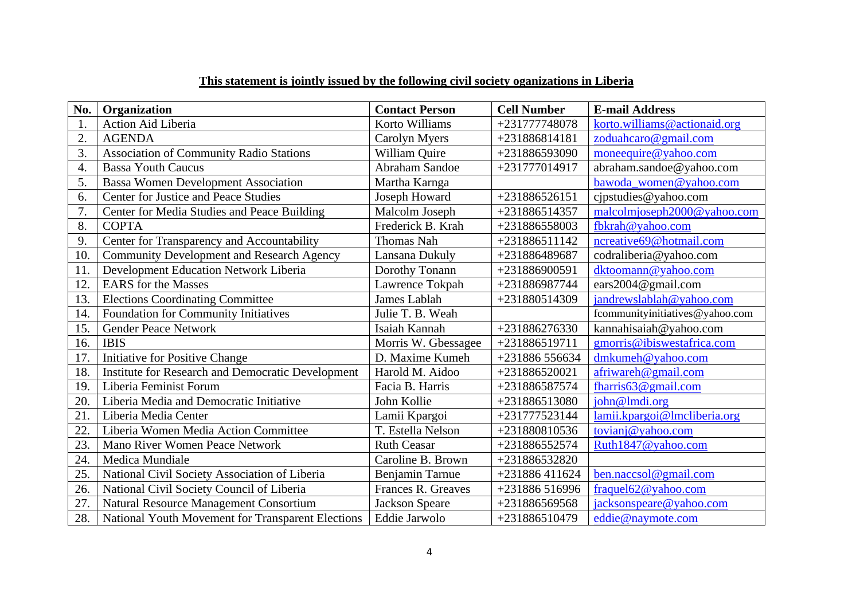| No.              | Organization                                      | <b>Contact Person</b> | <b>Cell Number</b> | <b>E-mail Address</b>           |
|------------------|---------------------------------------------------|-----------------------|--------------------|---------------------------------|
| 1.               | Action Aid Liberia                                | Korto Williams        | +231777748078      | korto.williams@actionaid.org    |
| $\overline{2}$ . | <b>AGENDA</b>                                     | Carolyn Myers         | +231886814181      | zoduahcaro@gmail.com            |
| 3.               | Association of Community Radio Stations           | William Quire         | +231886593090      | moneequire@yahoo.com            |
| 4.               | <b>Bassa Youth Caucus</b>                         | Abraham Sandoe        | +231777014917      | abraham.sandoe@yahoo.com        |
| 5.               | <b>Bassa Women Development Association</b>        | Martha Karnga         |                    | bawoda women@yahoo.com          |
| 6.               | <b>Center for Justice and Peace Studies</b>       | Joseph Howard         | +231886526151      | cjpstudies@yahoo.com            |
| 7.               | Center for Media Studies and Peace Building       | Malcolm Joseph        | +231886514357      | malcolmjoseph2000@yahoo.com     |
| 8.               | <b>COPTA</b>                                      | Frederick B. Krah     | +231886558003      | fbkrah@yahoo.com                |
| 9.               | Center for Transparency and Accountability        | <b>Thomas Nah</b>     | +231886511142      | ncreative69@hotmail.com         |
| 10.              | <b>Community Development and Research Agency</b>  | Lansana Dukuly        | +231886489687      | codraliberia@yahoo.com          |
| 11               | Development Education Network Liberia             | Dorothy Tonann        | +231886900591      | dktoomann@yahoo.com             |
| 12.              | <b>EARS</b> for the Masses                        | Lawrence Tokpah       | +231886987744      | ears2004@gmail.com              |
| 13.              | <b>Elections Coordinating Committee</b>           | James Lablah          | +231880514309      | jandrewslablah@yahoo.com        |
| 14.              | Foundation for Community Initiatives              | Julie T. B. Weah      |                    | fcommunityinitiatives@yahoo.com |
| 15.              | <b>Gender Peace Network</b>                       | Isaiah Kannah         | +231886276330      | kannahisaiah@yahoo.com          |
| 16.              | <b>IBIS</b>                                       | Morris W. Gbessagee   | +231886519711      | gmorris@ibiswestafrica.com      |
| 17.              | <b>Initiative for Positive Change</b>             | D. Maxime Kumeh       | +231886 556634     | dmkumeh@yahoo.com               |
| 18.              | Institute for Research and Democratic Development | Harold M. Aidoo       | +231886520021      | afriwareh@gmail.com             |
| 19.              | Liberia Feminist Forum                            | Facia B. Harris       | +231886587574      | fharris63@gmail.com             |
| 20.              | Liberia Media and Democratic Initiative           | John Kollie           | +231886513080      | john@lmdi.org                   |
| 21.              | Liberia Media Center                              | Lamii Kpargoi         | +231777523144      | lamii.kpargoi@lmcliberia.org    |
| 22.              | Liberia Women Media Action Committee              | T. Estella Nelson     | +231880810536      | tovianj@yahoo.com               |
| 23.              | <b>Mano River Women Peace Network</b>             | <b>Ruth Ceasar</b>    | +231886552574      | Ruth1847@yahoo.com              |
| 24.              | <b>Medica Mundiale</b>                            | Caroline B. Brown     | +231886532820      |                                 |
| 25.              | National Civil Society Association of Liberia     | Benjamin Tarnue       | +231886 411624     | ben.naccsol@gmail.com           |
| 26.              | National Civil Society Council of Liberia         | Frances R. Greaves    | +231886 516996     | fraquel62@yahoo.com             |
| 27.              | Natural Resource Management Consortium            | <b>Jackson Speare</b> | +231886569568      | jacksonspeare@yahoo.com         |
| 28.              | National Youth Movement for Transparent Elections | Eddie Jarwolo         | +231886510479      | eddie@naymote.com               |

## **This statement is jointly issued by the following civil society oganizations in Liberia**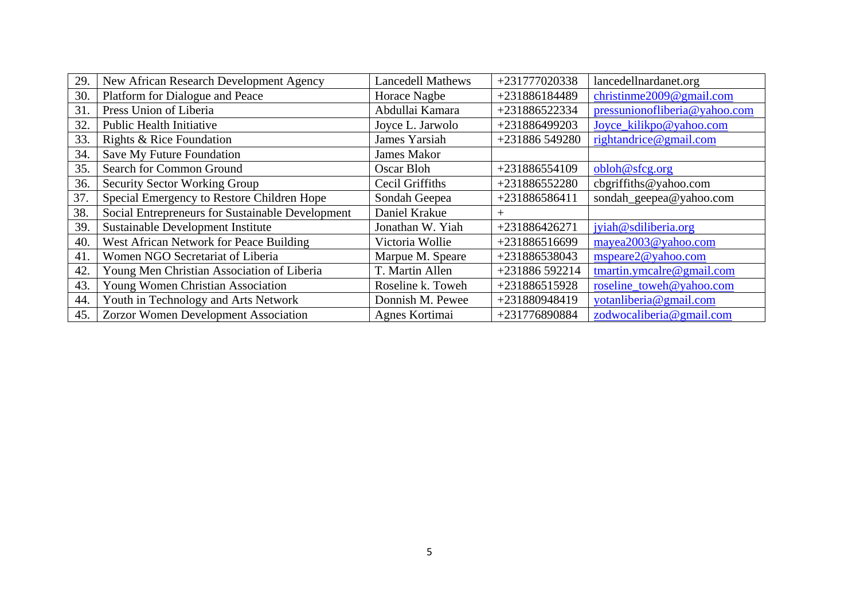| 29. | New African Research Development Agency          | <b>Lancedell Mathews</b> | +231777020338  | lancedellnardanet.org         |
|-----|--------------------------------------------------|--------------------------|----------------|-------------------------------|
| 30. | Platform for Dialogue and Peace                  | Horace Nagbe             | +231886184489  | christinme $2009@$ gmail.com  |
| 31. | Press Union of Liberia                           | Abdullai Kamara          | +231886522334  | pressunionofliberia@yahoo.com |
| 32. | <b>Public Health Initiative</b>                  | Joyce L. Jarwolo         | +231886499203  | Joyce_kilikpo@yahoo.com       |
| 33. | Rights & Rice Foundation                         | James Yarsiah            | +231886 549280 | rightandrice@gmail.com        |
| 34. | Save My Future Foundation                        | <b>James Makor</b>       |                |                               |
| 35. | Search for Common Ground                         | Oscar Bloh               | +231886554109  | obloh@sfcg.org                |
| 36. | <b>Security Sector Working Group</b>             | Cecil Griffiths          | +231886552280  | cbgriffiths@yahoo.com         |
| 37. | Special Emergency to Restore Children Hope       | Sondah Geepea            | +231886586411  | sondah_geepea@yahoo.com       |
| 38. | Social Entrepreneurs for Sustainable Development | Daniel Krakue            | $^{+}$         |                               |
| 39. | Sustainable Development Institute                | Jonathan W. Yiah         | +231886426271  | jyiah@sdiliberia.org          |
| 40. | West African Network for Peace Building          | Victoria Wollie          | +231886516699  | mayea2003@yahoo.com           |
| 41. | Women NGO Secretariat of Liberia                 | Marpue M. Speare         | +231886538043  | mspeare2@yahoo.com            |
| 42. | Young Men Christian Association of Liberia       | T. Martin Allen          | +231886 592214 | tmartin.ymcalre@gmail.com     |
| 43. | Young Women Christian Association                | Roseline k. Toweh        | +231886515928  | roseline_toweh@yahoo.com      |
| 44. | Youth in Technology and Arts Network             | Donnish M. Pewee         | +231880948419  | votanliberia@gmail.com        |
| 45. | Zorzor Women Development Association             | Agnes Kortimai           | +231776890884  | zodwocaliberia@gmail.com      |